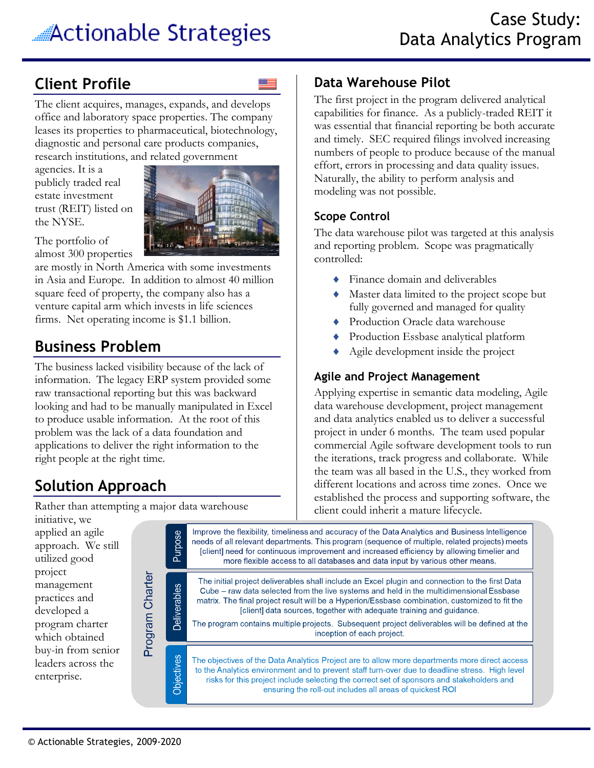# **Client Profile**

The client acquires, manages, expands, and develops office and laboratory space properties. The company leases its properties to pharmaceutical, biotechnology, diagnostic and personal care products companies, research institutions, and related government

agencies. It is a publicly traded real estate investment trust (REIT) listed on the NYSE.



The portfolio of almost 300 properties

are mostly in North America with some investments in Asia and Europe. In addition to almost 40 million square feed of property, the company also has a venture capital arm which invests in life sciences firms. Net operating income is \$1.1 billion.

# **Business Problem**

The business lacked visibility because of the lack of information. The legacy ERP system provided some raw transactional reporting but this was backward looking and had to be manually manipulated in Excel to produce usable information. At the root of this problem was the lack of a data foundation and applications to deliver the right information to the right people at the right time.

# **Solution Approach**

Rather than attempting a major data warehouse

#### **Data Warehouse Pilot**

The first project in the program delivered analytical capabilities for finance. As a publicly-traded REIT it was essential that financial reporting be both accurate and timely. SEC required filings involved increasing numbers of people to produce because of the manual effort, errors in processing and data quality issues. Naturally, the ability to perform analysis and modeling was not possible.

#### **Scope Control**

The data warehouse pilot was targeted at this analysis and reporting problem. Scope was pragmatically controlled:

- ◆ Finance domain and deliverables
- Master data limited to the project scope but fully governed and managed for quality
- ◆ Production Oracle data warehouse
- Production Essbase analytical platform
- Agile development inside the project

#### **Agile and Project Management**

Applying expertise in semantic data modeling, Agile data warehouse development, project management and data analytics enabled us to deliver a successful project in under 6 months. The team used popular commercial Agile software development tools to run the iterations, track progress and collaborate. While the team was all based in the U.S., they worked from different locations and across time zones. Once we established the process and supporting software, the client could inherit a mature lifecycle.

initiative, we applied an agile approach. We still utilized good project Program Charter management practices and developed a program charter which obtained buy-in from senior leaders across the enterprise.

Improve the flexibility, timeliness and accuracy of the Data Analytics and Business Intelligence Purpose needs of all relevant departments. This program (sequence of multiple, related projects) meets [client] need for continuous improvement and increased efficiency by allowing timelier and more flexible access to all databases and data input by various other means. The initial project deliverables shall include an Excel plugin and connection to the first Data **Deliverables** Cube – raw data selected from the live systems and held in the multidimensional Essbase matrix. The final project result will be a Hyperion/Essbase combination, customized to fit the [client] data sources, together with adequate training and guidance. The program contains multiple projects. Subsequent project deliverables will be defined at the inception of each project. Objectives The objectives of the Data Analytics Project are to allow more departments more direct access to the Analytics environment and to prevent staff turn-over due to deadline stress. High level

risks for this project include selecting the correct set of sponsors and stakeholders and ensuring the roll-out includes all areas of quickest ROI

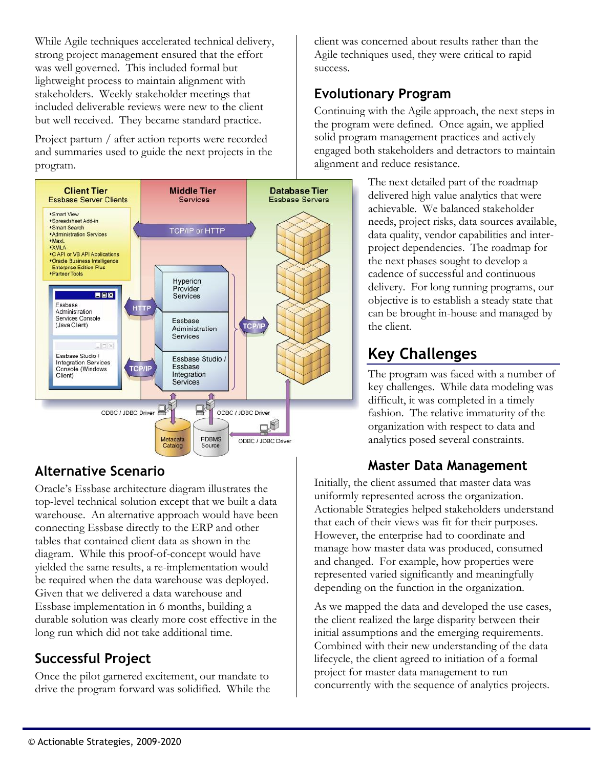While Agile techniques accelerated technical delivery, strong project management ensured that the effort was well governed. This included formal but lightweight process to maintain alignment with stakeholders. Weekly stakeholder meetings that included deliverable reviews were new to the client but well received. They became standard practice.

Project partum / after action reports were recorded and summaries used to guide the next projects in the program.



#### **Alternative Scenario**

Oracle's Essbase architecture diagram illustrates the top-level technical solution except that we built a data warehouse. An alternative approach would have been connecting Essbase directly to the ERP and other tables that contained client data as shown in the diagram. While this proof-of-concept would have yielded the same results, a re-implementation would be required when the data warehouse was deployed. Given that we delivered a data warehouse and Essbase implementation in 6 months, building a durable solution was clearly more cost effective in the long run which did not take additional time.

#### **Successful Project**

Once the pilot garnered excitement, our mandate to drive the program forward was solidified. While the client was concerned about results rather than the Agile techniques used, they were critical to rapid success.

### **Evolutionary Program**

Continuing with the Agile approach, the next steps in the program were defined. Once again, we applied solid program management practices and actively engaged both stakeholders and detractors to maintain alignment and reduce resistance.

> The next detailed part of the roadmap delivered high value analytics that were achievable. We balanced stakeholder needs, project risks, data sources available, data quality, vendor capabilities and interproject dependencies. The roadmap for the next phases sought to develop a cadence of successful and continuous delivery. For long running programs, our objective is to establish a steady state that can be brought in-house and managed by the client.

# **Key Challenges**

The program was faced with a number of key challenges. While data modeling was difficult, it was completed in a timely fashion. The relative immaturity of the organization with respect to data and analytics posed several constraints.

#### **Master Data Management**

Initially, the client assumed that master data was uniformly represented across the organization. Actionable Strategies helped stakeholders understand that each of their views was fit for their purposes. However, the enterprise had to coordinate and manage how master data was produced, consumed and changed. For example, how properties were represented varied significantly and meaningfully depending on the function in the organization.

As we mapped the data and developed the use cases, the client realized the large disparity between their initial assumptions and the emerging requirements. Combined with their new understanding of the data lifecycle, the client agreed to initiation of a formal project for master data management to run concurrently with the sequence of analytics projects.